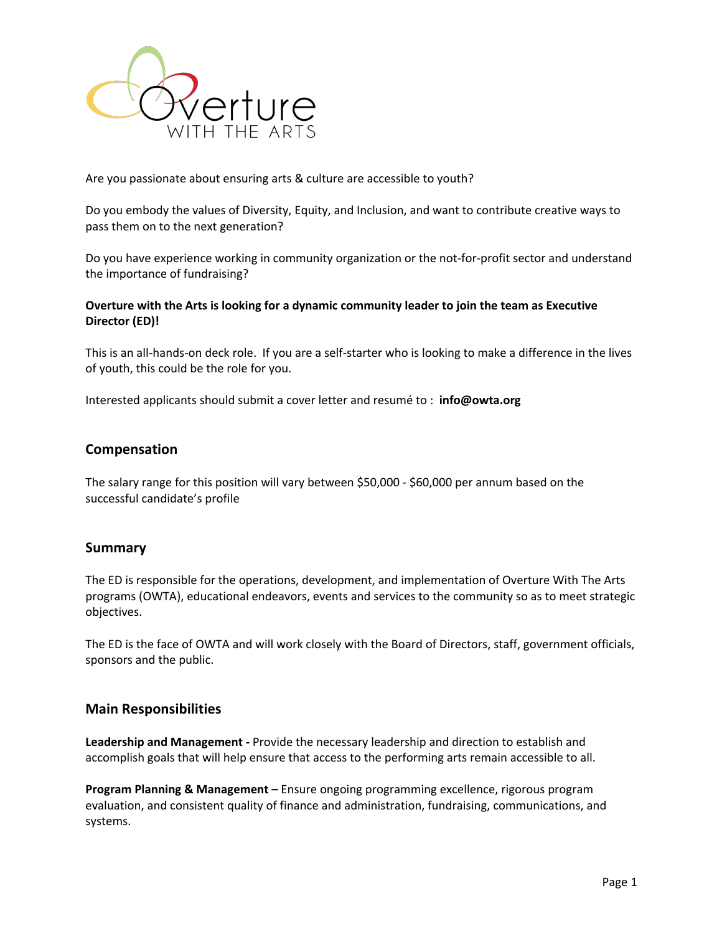

Are you passionate about ensuring arts & culture are accessible to youth?

Do you embody the values of Diversity, Equity, and Inclusion, and want to contribute creative ways to pass them on to the next generation?

Do you have experience working in community organization or the not-for-profit sector and understand the importance of fundraising?

### **Overture with the Arts is looking for a dynamic community leader to join the team as Executive Director (ED)!**

This is an all-hands-on deck role. If you are a self-starter who is looking to make a difference in the lives of youth, this could be the role for you.

Interested applicants should submit a cover letter and resumé to : **info@owta.org**

## **Compensation**

The salary range for this position will vary between \$50,000 - \$60,000 per annum based on the successful candidate's profile

#### **Summary**

The ED is responsible for the operations, development, and implementation of Overture With The Arts programs (OWTA), educational endeavors, events and services to the community so as to meet strategic objectives.

The ED is the face of OWTA and will work closely with the Board of Directors, staff, government officials, sponsors and the public.

#### **Main Responsibilities**

**Leadership and Management -** Provide the necessary leadership and direction to establish and accomplish goals that will help ensure that access to the performing arts remain accessible to all.

**Program Planning & Management –** Ensure ongoing programming excellence, rigorous program evaluation, and consistent quality of finance and administration, fundraising, communications, and systems.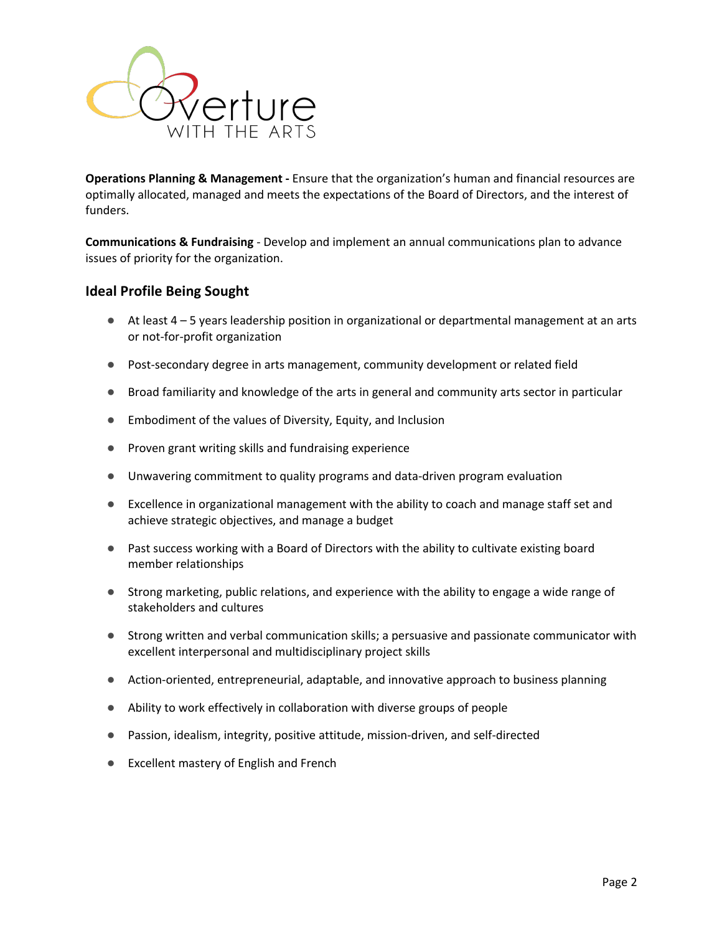

**Operations Planning & Management -** Ensure that the organization's human and financial resources are optimally allocated, managed and meets the expectations of the Board of Directors, and the interest of funders.

**Communications & Fundraising** - Develop and implement an annual communications plan to advance issues of priority for the organization.

## **Ideal Profile Being Sought**

- At least 4 5 years leadership position in organizational or departmental management at an arts or not-for-profit organization
- Post-secondary degree in arts management, community development or related field
- Broad familiarity and knowledge of the arts in general and community arts sector in particular
- Embodiment of the values of Diversity, Equity, and Inclusion
- Proven grant writing skills and fundraising experience
- Unwavering commitment to quality programs and data-driven program evaluation
- Excellence in organizational management with the ability to coach and manage staff set and achieve strategic objectives, and manage a budget
- Past success working with a Board of Directors with the ability to cultivate existing board member relationships
- Strong marketing, public relations, and experience with the ability to engage a wide range of stakeholders and cultures
- Strong written and verbal communication skills; a persuasive and passionate communicator with excellent interpersonal and multidisciplinary project skills
- Action-oriented, entrepreneurial, adaptable, and innovative approach to business planning
- Ability to work effectively in collaboration with diverse groups of people
- Passion, idealism, integrity, positive attitude, mission-driven, and self-directed
- Excellent mastery of English and French